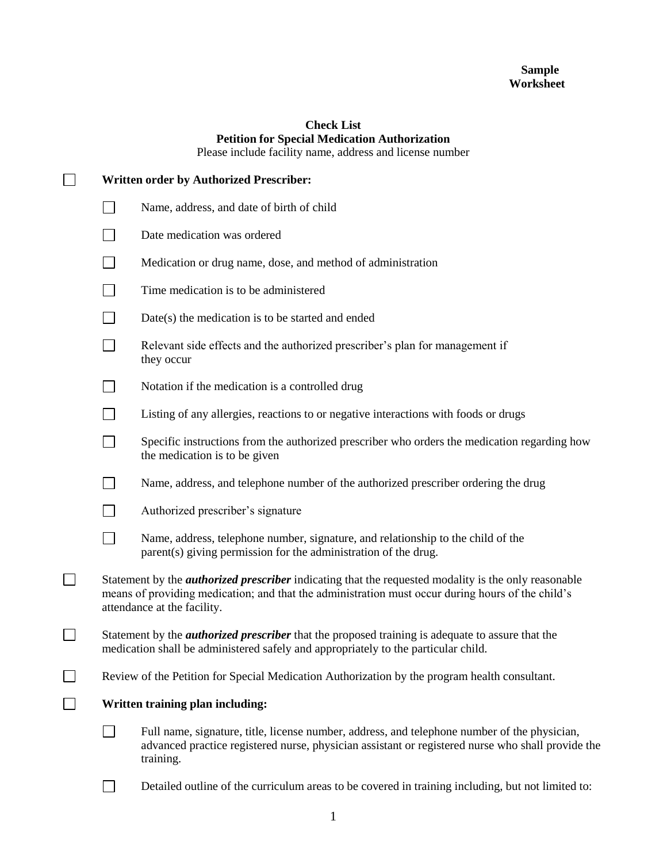## **Sample Worksheet**

## **Check List Petition for Special Medication Authorization**

Please include facility name, address and license number

| <b>Written order by Authorized Prescriber:</b> |                                                                                                                                                                                                                                                 |  |
|------------------------------------------------|-------------------------------------------------------------------------------------------------------------------------------------------------------------------------------------------------------------------------------------------------|--|
| $\sim$                                         | Name, address, and date of birth of child                                                                                                                                                                                                       |  |
|                                                | Date medication was ordered                                                                                                                                                                                                                     |  |
|                                                | Medication or drug name, dose, and method of administration                                                                                                                                                                                     |  |
|                                                | Time medication is to be administered                                                                                                                                                                                                           |  |
|                                                | Date(s) the medication is to be started and ended                                                                                                                                                                                               |  |
| $\sim$                                         | Relevant side effects and the authorized prescriber's plan for management if<br>they occur                                                                                                                                                      |  |
|                                                | Notation if the medication is a controlled drug                                                                                                                                                                                                 |  |
|                                                | Listing of any allergies, reactions to or negative interactions with foods or drugs                                                                                                                                                             |  |
|                                                | Specific instructions from the authorized prescriber who orders the medication regarding how<br>the medication is to be given                                                                                                                   |  |
|                                                | Name, address, and telephone number of the authorized prescriber ordering the drug                                                                                                                                                              |  |
|                                                | Authorized prescriber's signature                                                                                                                                                                                                               |  |
| $\overline{\phantom{a}}$                       | Name, address, telephone number, signature, and relationship to the child of the<br>parent(s) giving permission for the administration of the drug.                                                                                             |  |
|                                                | Statement by the <i>authorized prescriber</i> indicating that the requested modality is the only reasonable<br>means of providing medication; and that the administration must occur during hours of the child's<br>attendance at the facility. |  |
|                                                | Statement by the <i>authorized prescriber</i> that the proposed training is adequate to assure that the<br>medication shall be administered safely and appropriately to the particular child.                                                   |  |
|                                                | Review of the Petition for Special Medication Authorization by the program health consultant.                                                                                                                                                   |  |
| Written training plan including:               |                                                                                                                                                                                                                                                 |  |
|                                                | Full name, signature, title, license number, address, and telephone number of the physician,<br>advanced practice registered nurse, physician assistant or registered nurse who shall provide the<br>training.                                  |  |
|                                                | Detailed outline of the curriculum areas to be covered in training including, but not limited to:                                                                                                                                               |  |